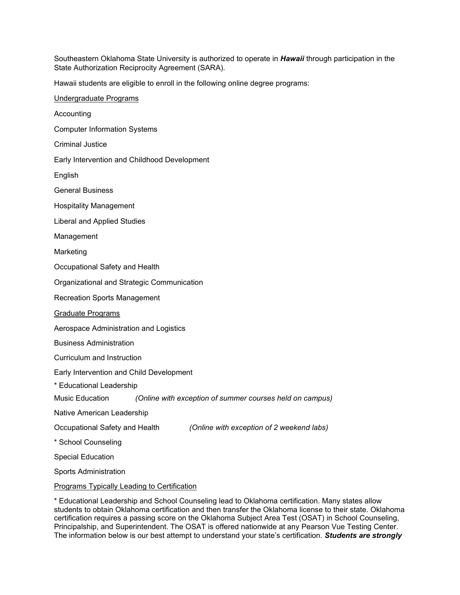Southeastern Oklahoma State University is authorized to operate in *Hawaii* through participation in the State Authorization Reciprocity Agreement (SARA).

Hawaii students are eligible to enroll in the following online degree programs:

\* Educational Leadership and School Counseling lead to Oklahoma certification. Many states allow students to obtain Oklahoma certification and then transfer the Oklahoma license to their state. Oklahoma certification requires a passing score on the Oklahoma Subject Area Test (OSAT) in School Counseling, Principalship, and Superintendent. The OSAT is offered nationwide at any Pearson Vue Testing Center. The information below is our best attempt to understand your state's certification. *Students are strongly*